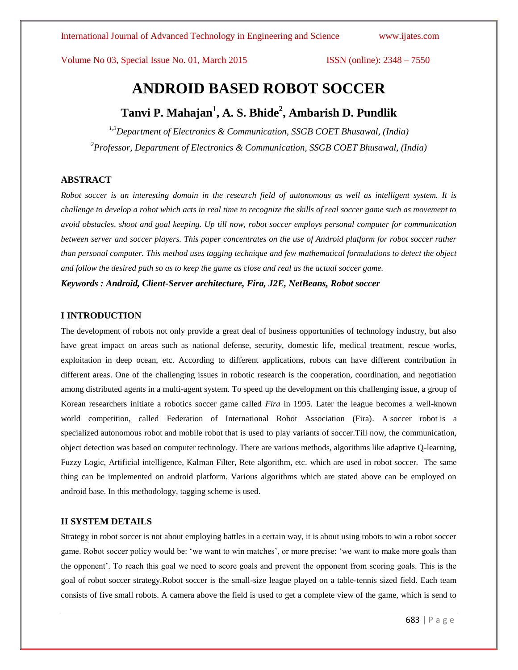International Journal of Advanced Technology in Engineering and Science www.ijates.com

Volume No 03, Special Issue No. 01, March 2015 **ISSN** (online): 2348 – 7550

# **ANDROID BASED ROBOT SOCCER**

# **Tanvi P. Mahajan<sup>1</sup> , A. S. Bhide<sup>2</sup> , Ambarish D. Pundlik**

*1,3Department of Electronics & Communication, SSGB COET Bhusawal, (India) <sup>2</sup>Professor, Department of Electronics & Communication, SSGB COET Bhusawal, (India)*

# **ABSTRACT**

*Robot soccer is an interesting domain in the research field of autonomous as well as intelligent system. It is challenge to develop a robot which acts in real time to recognize the skills of real soccer game such as movement to avoid obstacles, shoot and goal keeping. Up till now, robot soccer employs personal computer for communication between server and soccer players. This paper concentrates on the use of Android platform for robot soccer rather than personal computer. This method uses tagging technique and few mathematical formulations to detect the object and follow the desired path so as to keep the game as close and real as the actual soccer game.*

*Keywords : Android, Client-Server architecture, Fira, J2E, NetBeans, Robot soccer*

### **I INTRODUCTION**

The development of robots not only provide a great deal of business opportunities of technology industry, but also have great impact on areas such as national defense, security, domestic life, medical treatment, rescue works, exploitation in deep ocean, etc. According to different applications, robots can have different contribution in different areas. One of the challenging issues in robotic research is the cooperation, coordination, and negotiation among distributed agents in a multi-agent system. To speed up the development on this challenging issue, a group of Korean researchers initiate a robotics soccer game called *Fira* in 1995. Later the league becomes a well-known world competition, called Federation of International Robot Association (Fira). A soccer robot is a specialized autonomous robot and mobile robot that is used to play variants of soccer.Till now, the communication, object detection was based on computer technology. There are various methods, algorithms like adaptive Q-learning, Fuzzy Logic, Artificial intelligence, Kalman Filter, Rete algorithm, etc. which are used in robot soccer. The same thing can be implemented on android platform. Various algorithms which are stated above can be employed on android base. In this methodology, tagging scheme is used.

# **II SYSTEM DETAILS**

Strategy in robot soccer is not about employing battles in a certain way, it is about using robots to win a robot soccer game. Robot soccer policy would be: 'we want to win matches', or more precise: 'we want to make more goals than the opponent'. To reach this goal we need to score goals and prevent the opponent from scoring goals. This is the goal of robot soccer strategy.Robot soccer is the small-size league played on a table-tennis sized field. Each team consists of five small robots. A camera above the field is used to get a complete view of the game, which is send to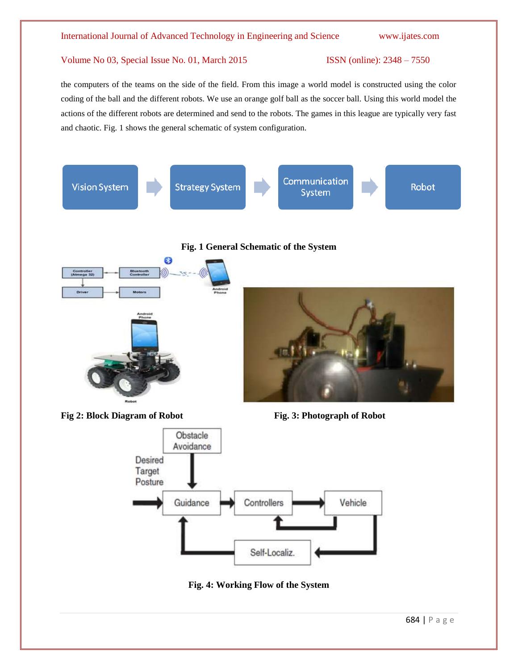the computers of the teams on the side of the field. From this image a world model is constructed using the color coding of the ball and the different robots. We use an orange golf ball as the soccer ball. Using this world model the actions of the different robots are determined and send to the robots. The games in this league are typically very fast and chaotic. Fig. 1 shows the general schematic of system configuration.





**Fig. 4: Working Flow of the System**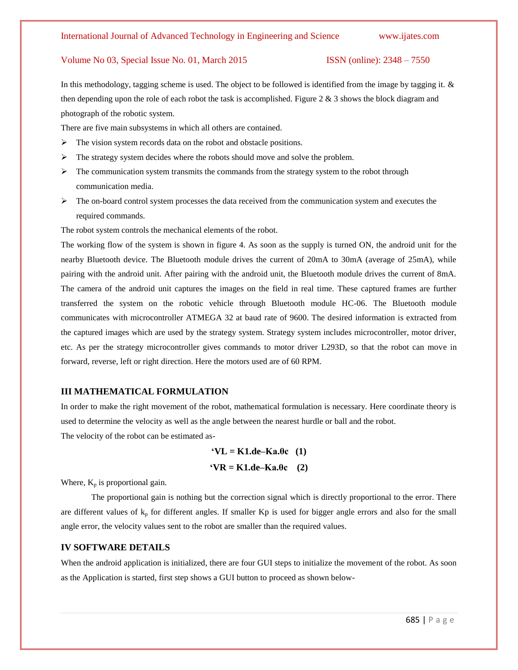In this methodology, tagging scheme is used. The object to be followed is identified from the image by tagging it. & then depending upon the role of each robot the task is accomplished. Figure 2  $\&$  3 shows the block diagram and photograph of the robotic system.

There are five main subsystems in which all others are contained.

- $\triangleright$  The vision system records data on the robot and obstacle positions.
- $\triangleright$  The strategy system decides where the robots should move and solve the problem.
- $\triangleright$  The communication system transmits the commands from the strategy system to the robot through communication media.
- $\triangleright$  The on-board control system processes the data received from the communication system and executes the required commands.

The robot system controls the mechanical elements of the robot.

The working flow of the system is shown in figure 4. As soon as the supply is turned ON, the android unit for the nearby Bluetooth device. The Bluetooth module drives the current of 20mA to 30mA (average of 25mA), while pairing with the android unit. After pairing with the android unit, the Bluetooth module drives the current of 8mA. The camera of the android unit captures the images on the field in real time. These captured frames are further transferred the system on the robotic vehicle through Bluetooth module HC-06. The Bluetooth module communicates with microcontroller ATMEGA 32 at baud rate of 9600. The desired information is extracted from the captured images which are used by the strategy system. Strategy system includes microcontroller, motor driver, etc. As per the strategy microcontroller gives commands to motor driver L293D, so that the robot can move in forward, reverse, left or right direction. Here the motors used are of 60 RPM.

# **III MATHEMATICAL FORMULATION**

In order to make the right movement of the robot, mathematical formulation is necessary. Here coordinate theory is used to determine the velocity as well as the angle between the nearest hurdle or ball and the robot. The velocity of the robot can be estimated as-

$$
V = K1.de-Ka.0c \quad (1)
$$

$$
V = K1.de-Ka.0c \quad (2)
$$

Where,  $K_p$  is proportional gain.

The proportional gain is nothing but the correction signal which is directly proportional to the error. There are different values of  $k_p$  for different angles. If smaller Kp is used for bigger angle errors and also for the small angle error, the velocity values sent to the robot are smaller than the required values.

### **IV SOFTWARE DETAILS**

When the android application is initialized, there are four GUI steps to initialize the movement of the robot. As soon as the Application is started, first step shows a GUI button to proceed as shown below-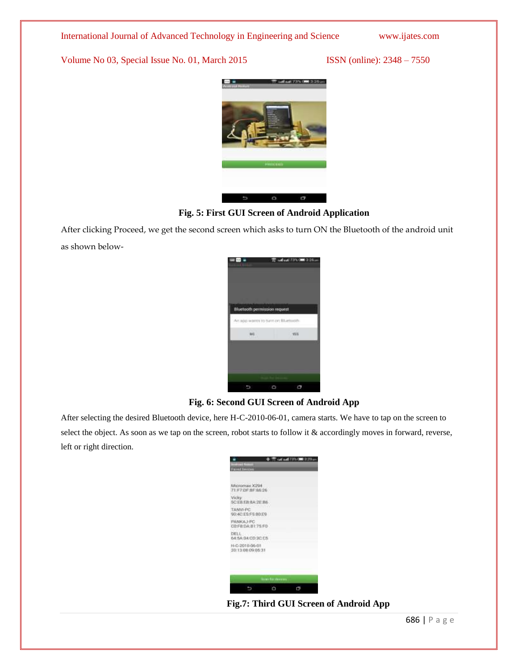

# **Fig. 5: First GUI Screen of Android Application**

After clicking Proceed, we get the second screen which asks to turn ON the Bluetooth of the android unit as shown below-



# **Fig. 6: Second GUI Screen of Android App**

After selecting the desired Bluetooth device, here H-C-2010-06-01, camera starts. We have to tap on the screen to select the object. As soon as we tap on the screen, robot starts to follow it & accordingly moves in forward, reverse, left or right direction.



**Fig.7: Third GUI Screen of Android App**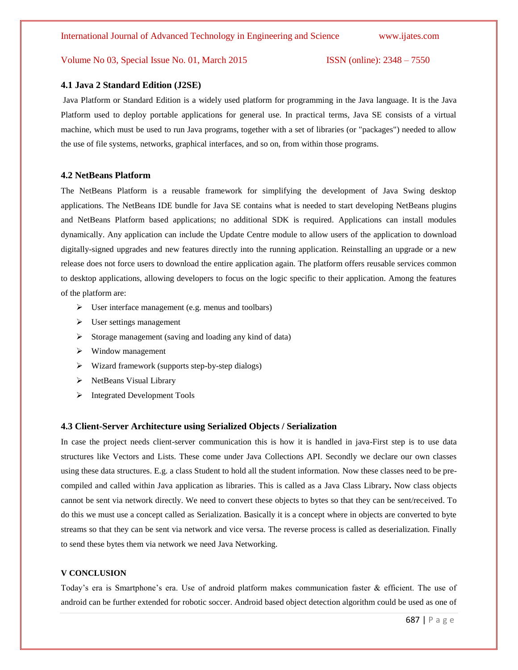### **4.1 Java 2 Standard Edition (J2SE)**

Java Platform or Standard Edition is a widely used platform for programming in the Java language. It is the Java Platform used to deploy portable applications for general use. In practical terms, Java SE consists of a virtual machine, which must be used to run Java programs, together with a set of libraries (or "packages") needed to allow the use of file systems, networks, graphical interfaces, and so on, from within those programs.

### **4.2 NetBeans Platform**

The NetBeans Platform is a reusable framework for simplifying the development of Java Swing desktop applications. The NetBeans IDE bundle for Java SE contains what is needed to start developing NetBeans plugins and NetBeans Platform based applications; no additional SDK is required. Applications can install modules dynamically. Any application can include the Update Centre module to allow users of the application to download digitally-signed upgrades and new features directly into the running application. Reinstalling an upgrade or a new release does not force users to download the entire application again. The platform offers reusable services common to desktop applications, allowing developers to focus on the logic specific to their application. Among the features of the platform are:

- $\triangleright$  User interface management (e.g. menus and toolbars)
- $\triangleright$  User settings management
- $\triangleright$  Storage management (saving and loading any kind of data)
- $\triangleright$  Window management
- $\triangleright$  Wizard framework (supports step-by-step dialogs)
- > NetBeans Visual Library
- $\triangleright$  Integrated Development Tools

### **4.3 Client-Server Architecture using Serialized Objects / Serialization**

In case the project needs client-server communication this is how it is handled in java-First step is to use data structures like Vectors and Lists. These come under Java Collections API. Secondly we declare our own classes using these data structures. E.g. a class Student to hold all the student information. Now these classes need to be precompiled and called within Java application as libraries. This is called as a Java Class Library**.** Now class objects cannot be sent via network directly. We need to convert these objects to bytes so that they can be sent/received. To do this we must use a concept called as Serialization. Basically it is a concept where in objects are converted to byte streams so that they can be sent via network and vice versa. The reverse process is called as deserialization. Finally to send these bytes them via network we need Java Networking.

### **V CONCLUSION**

Today's era is Smartphone's era. Use of android platform makes communication faster & efficient. The use of android can be further extended for robotic soccer. Android based object detection algorithm could be used as one of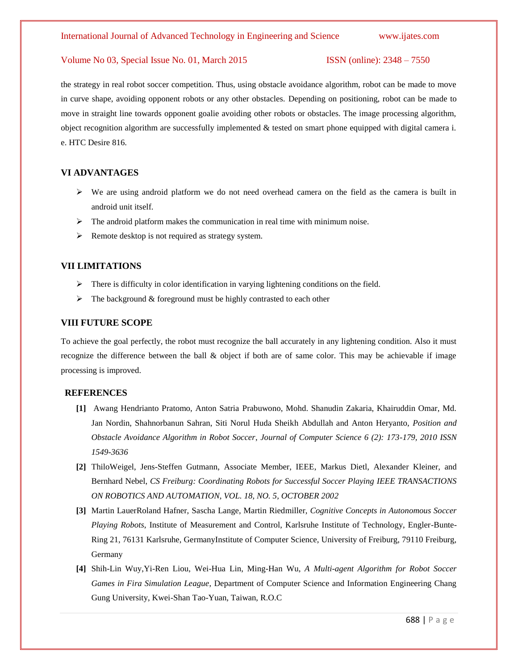the strategy in real robot soccer competition. Thus, using obstacle avoidance algorithm, robot can be made to move in curve shape, avoiding opponent robots or any other obstacles. Depending on positioning, robot can be made to move in straight line towards opponent goalie avoiding other robots or obstacles. The image processing algorithm, object recognition algorithm are successfully implemented  $\&$  tested on smart phone equipped with digital camera i. e. HTC Desire 816.

# **VI ADVANTAGES**

- $\triangleright$  We are using android platform we do not need overhead camera on the field as the camera is built in android unit itself.
- $\triangleright$  The android platform makes the communication in real time with minimum noise.
- $\triangleright$  Remote desktop is not required as strategy system.

# **VII LIMITATIONS**

- There is difficulty in color identification in varying lightening conditions on the field.
- $\triangleright$  The background & foreground must be highly contrasted to each other

# **VIII FUTURE SCOPE**

To achieve the goal perfectly, the robot must recognize the ball accurately in any lightening condition. Also it must recognize the difference between the ball & object if both are of same color. This may be achievable if image processing is improved.

# **REFERENCES**

- **[1]** Awang Hendrianto Pratomo, Anton Satria Prabuwono, Mohd. Shanudin Zakaria, Khairuddin Omar, Md. Jan Nordin, Shahnorbanun Sahran, Siti Norul Huda Sheikh Abdullah and Anton Heryanto, *Position and Obstacle Avoidance Algorithm in Robot Soccer*, *Journal of Computer Science 6 (2): 173-179, 2010 ISSN 1549-3636*
- **[2]** ThiloWeigel, Jens-Steffen Gutmann, Associate Member, IEEE, Markus Dietl, Alexander Kleiner, and Bernhard Nebel, *CS Freiburg: Coordinating Robots for Successful Soccer Playing IEEE TRANSACTIONS ON ROBOTICS AND AUTOMATION, VOL. 18, NO. 5, OCTOBER 2002*
- **[3]** Martin LauerRoland Hafner, Sascha Lange, Martin Riedmiller, *Cognitive Concepts in Autonomous Soccer Playing Robots*, Institute of Measurement and Control, Karlsruhe Institute of Technology, Engler-Bunte-Ring 21, 76131 Karlsruhe, GermanyInstitute of Computer Science, University of Freiburg, 79110 Freiburg, Germany
- **[4]** Shih-Lin Wuy,Yi-Ren Liou, Wei-Hua Lin, Ming-Han Wu, *A Multi-agent Algorithm for Robot Soccer Games in Fira Simulation League*, Department of Computer Science and Information Engineering Chang Gung University, Kwei-Shan Tao-Yuan, Taiwan, R.O.C